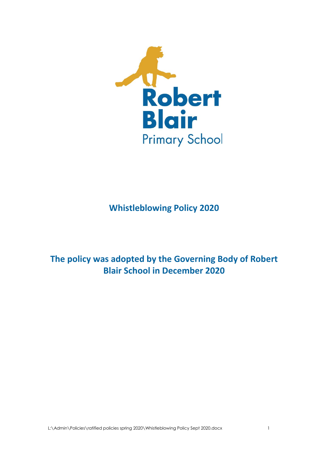

# **Whistleblowing Policy 2020**

# **The policy was adopted by the Governing Body of Robert Blair School in December 2020**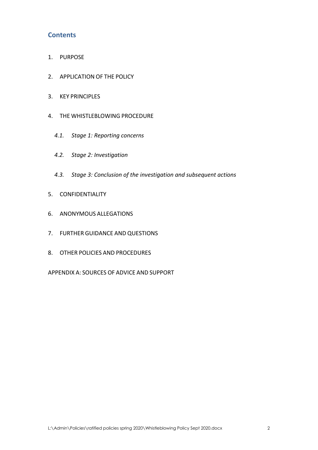# **Contents**

- 1. [PURPOSE](#page-2-0)
- 2. [APPLICATION](#page-2-1) OF THE POLICY
- 3. KEY [PRINCIPLES](#page-3-0)
- 4. THE [WHISTLEBLOWING](#page-4-0) PROCEDURE
	- *4.1. [Stage 1: Reporting concerns](#page-4-1)*
	- *4.2. [Stage 2: Investigation](#page-5-0)*
	- *4.3. [Stage 3: Conclusion of the investigation and subsequent actions](#page-5-1)*
- 5. [CONFIDENTIALITY](#page-6-0)
- 6. [ANONYMOUS](#page-6-1) ALLEGATIONS
- 7. FURTHER GUIDANCE AND [QUESTIONS](#page-6-2)
- 8. OTHER POLICIES AND [PROCEDURES](#page-7-0)

[APPENDIX](#page-8-0) A: SOURCES OF ADVICE AND SUPPORT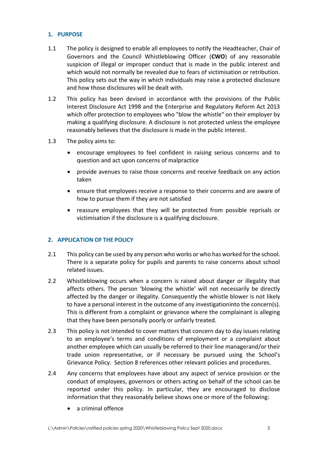# <span id="page-2-0"></span>**1. PURPOSE**

- 1.1 The policy is designed to enable all employees to notify the Headteacher, Chair of Governors and the Council Whistleblowing Officer (**CWO**) of any reasonable suspicion of illegal or improper conduct that is made in the public interest and which would not normally be revealed due to fears of victimisation or retribution. This policy sets out the way in which individuals may raise a protected disclosure and how those disclosures will be dealt with.
- 1.2 This policy has been devised in accordance with the provisions of the Public Interest Disclosure Act 1998 and the Enterprise and Regulatory Reform Act 2013 which offer protection to employees who "blow the whistle" on their employer by making a qualifying disclosure. A disclosure is not protected unless the employee reasonably believes that the disclosure is made in the public interest.
- 1.3 The policy aims to:
	- encourage employees to feel confident in raising serious concerns and to question and act upon concerns of malpractice
	- provide avenues to raise those concerns and receive feedback on any action taken
	- ensure that employees receive a response to their concerns and are aware of how to pursue them if they are not satisfied
	- reassure employees that they will be protected from possible reprisals or victimisation if the disclosure is a qualifying disclosure.

# <span id="page-2-1"></span>**2. APPLICATION OF THE POLICY**

- 2.1 This policy can be used by any person who works or who has worked for the school. There is a separate policy for pupils and parents to raise concerns about school related issues.
- 2.2 Whistleblowing occurs when a concern is raised about danger or illegality that affects others. The person 'blowing the whistle' will not necessarily be directly affected by the danger or illegality. Consequently the whistle blower is not likely to have a personal interest in the outcome of any investigationinto the concern(s). This is different from a complaint or grievance where the complainant is alleging that they have been personally poorly or unfairly treated.
- 2.3 This policy is not intended to cover matters that concern day to day issues relating to an employee's terms and conditions of employment or a complaint about another employee which can usually be referred to their line managerand/or their trade union representative, or if necessary be pursued using the School's Grievance Policy. Section 8 references other relevant policies and procedures.
- 2.4 Any concerns that employees have about any aspect of service provision or the conduct of employees, governors or others acting on behalf of the school can be reported under this policy. In particular, they are encouraged to disclose information that they reasonably believe shows one or more of the following:
	- a criminal offence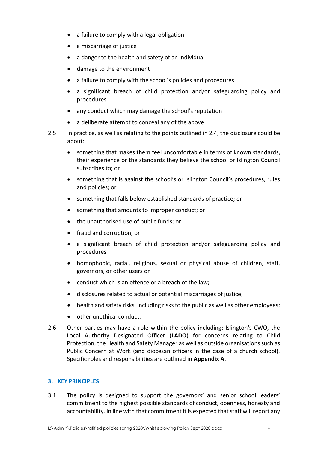- a failure to comply with a legal obligation
- a miscarriage of justice
- a danger to the health and safety of an individual
- damage to the environment
- a failure to comply with the school's policies and procedures
- a significant breach of child protection and/or safeguarding policy and procedures
- any conduct which may damage the school's reputation
- a deliberate attempt to conceal any of the above
- 2.5 In practice, as well as relating to the points outlined in 2.4, the disclosure could be about:
	- something that makes them feel uncomfortable in terms of known standards, their experience or the standards they believe the school or Islington Council subscribes to; or
	- something that is against the school's or Islington Council's procedures, rules and policies; or
	- something that falls below established standards of practice; or
	- something that amounts to improper conduct; or
	- the unauthorised use of public funds; or
	- fraud and corruption; or
	- a significant breach of child protection and/or safeguarding policy and procedures
	- homophobic, racial, religious, sexual or physical abuse of children, staff, governors, or other users or
	- conduct which is an offence or a breach of the law;
	- disclosures related to actual or potential miscarriages of justice;
	- health and safety risks, including risks to the public as well as other employees;
	- other unethical conduct;
- 2.6 Other parties may have a role within the policy including: Islington's CWO, the Local Authority Designated Officer (**LADO**) for concerns relating to Child Protection, the Health and Safety Manager as well as outside organisations such as Public Concern at Work (and diocesan officers in the case of a church school). Specific roles and responsibilities are outlined in **Appendix A**.

#### <span id="page-3-0"></span>**3. KEY PRINCIPLES**

3.1 The policy is designed to support the governors' and senior school leaders' commitment to the highest possible standards of conduct, openness, honesty and accountability. In line with that commitment it is expected that staff will report any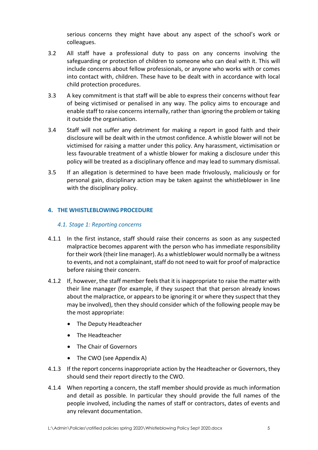serious concerns they might have about any aspect of the school's work or colleagues.

- 3.2 All staff have a professional duty to pass on any concerns involving the safeguarding or protection of children to someone who can deal with it. This will include concerns about fellow professionals, or anyone who works with or comes into contact with, children. These have to be dealt with in accordance with local child protection procedures.
- 3.3 A key commitment is that staff will be able to express their concerns without fear of being victimised or penalised in any way. The policy aims to encourage and enable staff to raise concerns internally, rather than ignoring the problem or taking it outside the organisation.
- 3.4 Staff will not suffer any detriment for making a report in good faith and their disclosure will be dealt with in the utmost confidence. A whistle blower will not be victimised for raising a matter under this policy. Any harassment, victimisation or less favourable treatment of a whistle blower for making a disclosure under this policy will be treated as a disciplinary offence and may lead to summary dismissal.
- 3.5 If an allegation is determined to have been made frivolously, maliciously or for personal gain, disciplinary action may be taken against the whistleblower in line with the disciplinary policy.

# <span id="page-4-0"></span>**4. THE WHISTLEBLOWING PROCEDURE**

## <span id="page-4-1"></span>*4.1. Stage 1: Reporting concerns*

- 4.1.1 In the first instance, staff should raise their concerns as soon as any suspected malpractice becomes apparent with the person who has immediate responsibility for their work (their line manager). As a whistleblower would normally be a witness to events, and not a complainant, staff do not need to wait for proof of malpractice before raising their concern.
- 4.1.2 If, however, the staff member feels that it is inappropriate to raise the matter with their line manager (for example, if they suspect that that person already knows about the malpractice, or appears to be ignoring it or where they suspect that they may be involved), then they should consider which of the following people may be the most appropriate:
	- The Deputy Headteacher
	- The Headteacher
	- The Chair of Governors
	- The CWO (see Appendix A)
- 4.1.3 If the report concerns inappropriate action by the Headteacher or Governors, they should send their report directly to the CWO.
- 4.1.4 When reporting a concern, the staff member should provide as much information and detail as possible. In particular they should provide the full names of the people involved, including the names of staff or contractors, dates of events and any relevant documentation.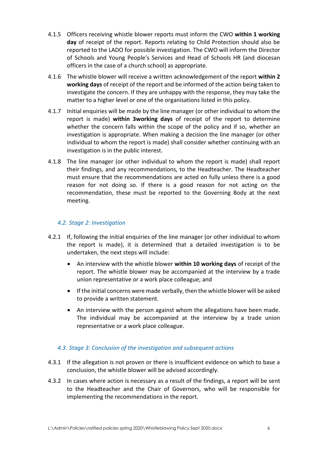- 4.1.5 Officers receiving whistle blower reports must inform the CWO **within 1 working day** of receipt of the report. Reports relating to Child Protection should also be reported to the LADO for possible investigation. The CWO will inform the Director of Schools and Young People's Services and Head of Schools HR (and diocesan officers in the case of a church school) as appropriate.
- 4.1.6 The whistle blower will receive a written acknowledgement of the report **within 2 working days** of receipt of the report and be informed of the action being taken to investigate the concern. If they are unhappy with the response, they may take the matter to a higher level or one of the organisations listed in this policy.
- 4.1.7 Initial enquiries will be made by the line manager (or other individual to whom the report is made) **within 3working days** of receipt of the report to determine whether the concern falls within the scope of the policy and if so, whether an investigation is appropriate. When making a decision the line manager (or other individual to whom the report is made) shall consider whether continuing with an investigation is in the public interest.
- 4.1.8 The line manager (or other individual to whom the report is made) shall report their findings, and any recommendations, to the Headteacher. The Headteacher must ensure that the recommendations are acted on fully unless there is a good reason for not doing so. If there is a good reason for not acting on the recommendation, these must be reported to the Governing Body at the next meeting.

# <span id="page-5-0"></span>*4.2. Stage 2: Investigation*

- 4.2.1 If, following the initial enquiries of the line manager (or other individual to whom the report is made), it is determined that a detailed investigation is to be undertaken, the next steps will include:
	- An interview with the whistle blower **within 10 working days** of receipt of the report. The whistle blower may be accompanied at the interview by a trade union representative or a work place colleague; and
	- If the initial concerns were made verbally, then the whistle blower will be asked to provide a written statement.
	- An interview with the person against whom the allegations have been made. The individual may be accompanied at the interview by a trade union representative or a work place colleague.

#### <span id="page-5-1"></span>*4.3. Stage 3: Conclusion of the investigation and subsequent actions*

- 4.3.1 If the allegation is not proven or there is insufficient evidence on which to base a conclusion, the whistle blower will be advised accordingly.
- 4.3.2 In cases where action is necessary as a result of the findings, a report will be sent to the Headteacher and the Chair of Governors, who will be responsible for implementing the recommendations in the report.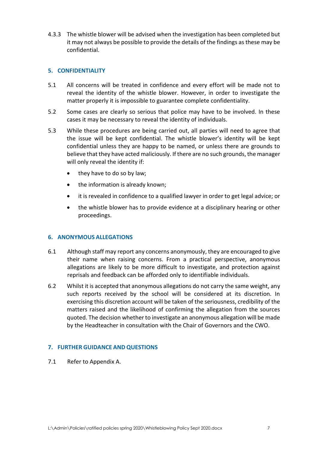4.3.3 The whistle blower will be advised when the investigation has been completed but it may not always be possible to provide the details of the findings as these may be confidential.

### <span id="page-6-0"></span>**5. CONFIDENTIALITY**

- 5.1 All concerns will be treated in confidence and every effort will be made not to reveal the identity of the whistle blower. However, in order to investigate the matter properly it is impossible to guarantee complete confidentiality.
- 5.2 Some cases are clearly so serious that police may have to be involved. In these cases it may be necessary to reveal the identity of individuals.
- 5.3 While these procedures are being carried out, all parties will need to agree that the issue will be kept confidential. The whistle blower's identity will be kept confidential unless they are happy to be named, or unless there are grounds to believe that they have acted maliciously. If there are no such grounds, the manager will only reveal the identity if:
	- they have to do so by law;
	- the information is already known;
	- it is revealed in confidence to a qualified lawyer in order to get legal advice; or
	- the whistle blower has to provide evidence at a disciplinary hearing or other proceedings.

#### <span id="page-6-1"></span>**6. ANONYMOUS ALLEGATIONS**

- 6.1 Although staff may report any concerns anonymously, they are encouraged to give their name when raising concerns. From a practical perspective, anonymous allegations are likely to be more difficult to investigate, and protection against reprisals and feedback can be afforded only to identifiable individuals.
- 6.2 Whilst it is accepted that anonymous allegations do not carry the same weight, any such reports received by the school will be considered at its discretion. In exercising this discretion account will be taken of the seriousness, credibility of the matters raised and the likelihood of confirming the allegation from the sources quoted. The decision whether to investigate an anonymous allegation will be made by the Headteacher in consultation with the Chair of Governors and the CWO.

#### <span id="page-6-2"></span>**7. FURTHER GUIDANCE AND QUESTIONS**

7.1 Refer to Appendix A.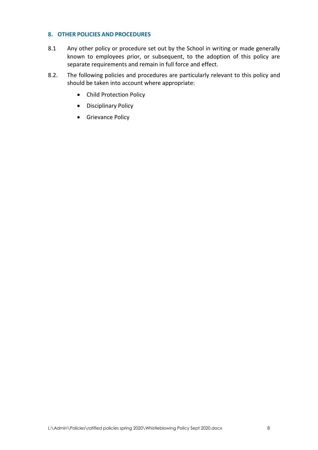### <span id="page-7-0"></span>**8. OTHER POLICIES AND PROCEDURES**

- 8.1 Any other policy or procedure set out by the School in writing or made generally known to employees prior, or subsequent, to the adoption of this policy are separate requirements and remain in full force and effect.
- 8.2. The following policies and procedures are particularly relevant to this policy and should be taken into account where appropriate:
	- Child Protection Policy
	- Disciplinary Policy
	- Grievance Policy